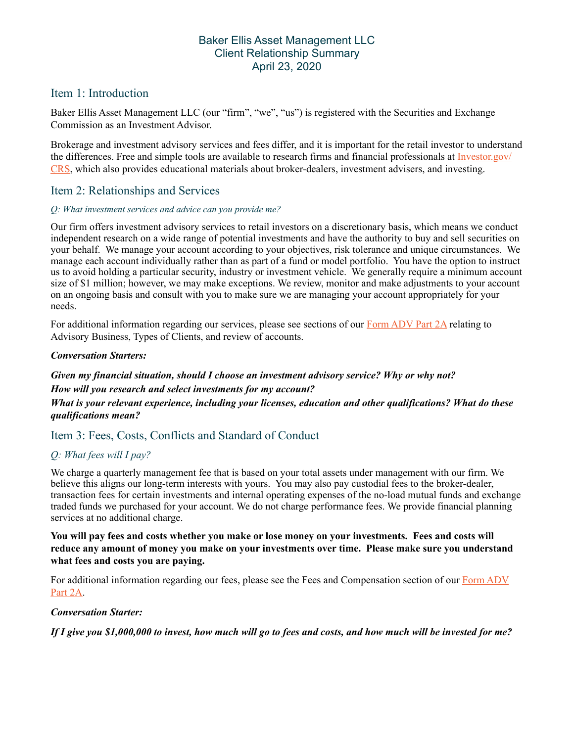## Baker Ellis Asset Management LLC Client Relationship Summary April 23, 2020

# Item 1: Introduction

Baker Ellis Asset Management LLC (our "firm", "we", "us") is registered with the Securities and Exchange Commission as an Investment Advisor.

Brokerage and investment advisory services and fees differ, and it is important for the retail investor to understand the differences. Free and simple tools are available to research firms and financial professionals at [Investor.gov/](https://www.investor.gov/CRS) [CRS,](https://www.investor.gov/CRS) which also provides educational materials about broker-dealers, investment advisers, and investing.

# Item 2: Relationships and Services

### *Q: What investment services and advice can you provide me?*

Our firm offers investment advisory services to retail investors on a discretionary basis, which means we conduct independent research on a wide range of potential investments and have the authority to buy and sell securities on your behalf. We manage your account according to your objectives, risk tolerance and unique circumstances. We manage each account individually rather than as part of a fund or model portfolio. You have the option to instruct us to avoid holding a particular security, industry or investment vehicle. We generally require a minimum account size of \$1 million; however, we may make exceptions. We review, monitor and make adjustments to your account on an ongoing basis and consult with you to make sure we are managing your account appropriately for your needs.

For additional information regarding our services, please see sections of our [Form ADV Part 2A](https://files.adviserinfo.sec.gov/IAPD/Content/Common/crd_iapd_Brochure.aspx?BRCHR_VRSN_ID=610587) relating to Advisory Business, Types of Clients, and review of accounts.

### *Conversation Starters:*

*Given my financial situation, should I choose an investment advisory service? Why or why not? How will you research and select investments for my account? What is your relevant experience, including your licenses, education and other qualifications? What do these qualifications mean?* 

## Item 3: Fees, Costs, Conflicts and Standard of Conduct

### *Q: What fees will I pay?*

We charge a quarterly management fee that is based on your total assets under management with our firm. We believe this aligns our long-term interests with yours. You may also pay custodial fees to the broker-dealer, transaction fees for certain investments and internal operating expenses of the no-load mutual funds and exchange traded funds we purchased for your account. We do not charge performance fees. We provide financial planning services at no additional charge.

### **You will pay fees and costs whether you make or lose money on your investments. Fees and costs will reduce any amount of money you make on your investments over time. Please make sure you understand what fees and costs you are paying.**

For additional information regarding our fees, please see the Fees and Compensation section of our [Form ADV](https://files.adviserinfo.sec.gov/IAPD/Content/Common/crd_iapd_Brochure.aspx?BRCHR_VRSN_ID=610587)  [Part 2A.](https://files.adviserinfo.sec.gov/IAPD/Content/Common/crd_iapd_Brochure.aspx?BRCHR_VRSN_ID=610587)

### *Conversation Starter:*

*If I give you \$1,000,000 to invest, how much will go to fees and costs, and how much will be invested for me?*